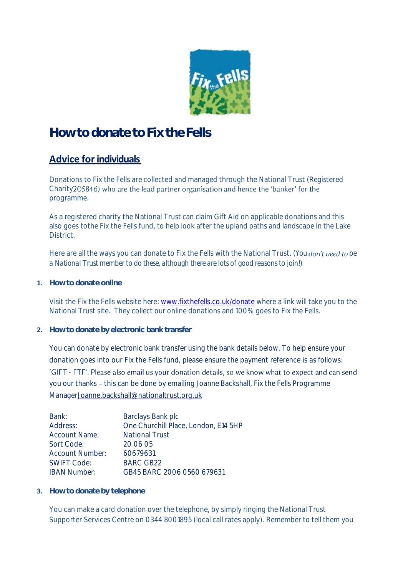

## **How to donate to Fix the Fells**

#### **Advice forindividuals**

Donations to Fix the Fells are collected and managed through the National Trust (Registered Charity 205846) who are the lead partner organisation and hence the 'banker' for the programme.

As a registered charity the National Trust can claim Gift Aid on applicable donations and this also goes tothe Fix the Fells fund, to help look after the upland paths and landscape in the Lake District.

Here are all the ways you can donate to Fix the Fells with the National Trust. *(You don't need to be a National Trust member to do these, although there are lots of good reasons to join!)*

**1. How to donate online**

Visit the Fix the Fells website here: [www.fixthefells.co.uk/donate](http://www.fixthefells.co.uk/donate) where a link will take you to the National Trust site. They collect our online donations and 100% goes to Fix the Fells.

**2. How to donate by electronic bank transfer**

You can donate by electronic bank transfer using the bank details below. To help ensure your donation goes into our Fix the Fells fund, please ensure the payment reference is as follows: 'GIFT - FTF'. Please also email us your donation details, so we know what to expect and can send you our thanks - this can be done by emailing Joanne Backshall, Fix the Fells Programme Manage[rJoanne.backshall@nationaltrust.org.uk](mailto:Joanne.backshall@nationaltrust.org.uk)

| Barclays Bank plc                    |
|--------------------------------------|
| One Churchill Place, London, E14 5HP |
| <b>National Trust</b>                |
| 20 06 05                             |
| 60679631                             |
| <b>BARC GB22</b>                     |
| GB45 BARC 2006 0560 679631           |
|                                      |

**3. How to donate by telephone**

You can make a card donation over the telephone, by simply ringing the National Trust Supporter Services Centre on 0344 8001895 (local call rates apply). Remember to tell them you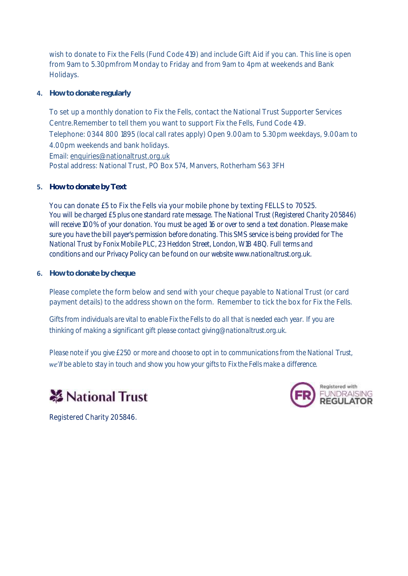wish to donate to Fix the Fells (Fund Code 419) and include Gift Aid if you can. This line is open from 9am to 5.30pmfrom Monday to Friday and from 9am to 4pm at weekends and Bank Holidays.

**4. How to donate regularly**

To set up a monthly donation to Fix the Fells, contact the National Trust Supporter Services Centre.Remember to tell them you want to support Fix the Fells, Fund Code 419. Telephone: 0344 800 1895 (local call rates apply) Open 9.00am to 5.30pm weekdays, 9.00am to 4.00pm weekends and bank holidays. Email[: enquiries@nationaltrust.org.uk](mailto:enquiries@nationaltrust.org.uk) Postal address: National Trust, PO Box 574, Manvers, Rotherham S63 3FH

**5. How to donate by Text**

You can donate £5 to Fix the Fells via your mobile phone by texting FELLS to 70525. *You will be charged £5 plus one standard rate message. The National Trust (Registered Charity 205846) will receive 100% of your donation. You must be aged 16 or over to send a text donation. Please make sure you have the bill payer's permission before donating. This SMS service is being provided for The National Trust by Fonix Mobile PLC, 23 Heddon Street, London, W1B 4BQ. Full [terms and](https://eur01.safelinks.protection.outlook.com/?url=https%3A%2F%2Fwww.nationaltrust.org.uk%2Ffeatures%2Ftext-to-donate-terms-and-conditions&data=05%7C01%7CJoanne.Backshall%40nationaltrust.org.uk%7Cabb3873c21f34192b51a08da3ca30087%7C0fba79b96423460d88eff9c3d4ca2e9f%7C0%7C0%7C637888968330954705%7CUnknown%7CTWFpbGZsb3d8eyJWIjoiMC4wLjAwMDAiLCJQIjoiV2luMzIiLCJBTiI6Ik1haWwiLCJXVCI6Mn0%3D%7C3000%7C%7C%7C&sdata=WYgkmd9nu67S09tZrWniCLqkNypxfpJ%2BY4FlLfW2HV8%3D&reserved=0)  [conditions](https://eur01.safelinks.protection.outlook.com/?url=https%3A%2F%2Fwww.nationaltrust.org.uk%2Ffeatures%2Ftext-to-donate-terms-and-conditions&data=05%7C01%7CJoanne.Backshall%40nationaltrust.org.uk%7Cabb3873c21f34192b51a08da3ca30087%7C0fba79b96423460d88eff9c3d4ca2e9f%7C0%7C0%7C637888968330954705%7CUnknown%7CTWFpbGZsb3d8eyJWIjoiMC4wLjAwMDAiLCJQIjoiV2luMzIiLCJBTiI6Ik1haWwiLCJXVCI6Mn0%3D%7C3000%7C%7C%7C&sdata=WYgkmd9nu67S09tZrWniCLqkNypxfpJ%2BY4FlLfW2HV8%3D&reserved=0) and our Privacy Policy can be found on our website [www.nationaltrust.org.uk.](https://eur01.safelinks.protection.outlook.com/?url=http%3A%2F%2Fwww.nationaltrust.org.uk%2F&data=05%7C01%7CJoanne.Backshall%40nationaltrust.org.uk%7Cabb3873c21f34192b51a08da3ca30087%7C0fba79b96423460d88eff9c3d4ca2e9f%7C0%7C0%7C637888968331110905%7CUnknown%7CTWFpbGZsb3d8eyJWIjoiMC4wLjAwMDAiLCJQIjoiV2luMzIiLCJBTiI6Ik1haWwiLCJXVCI6Mn0%3D%7C3000%7C%7C%7C&sdata=pKnFqMdm5p7Qi%2F86P9irJPccVILBsFGpkyqca8rB7SY%3D&reserved=0)*

**6. How to donate by cheque**

Please complete the form below and send with your cheque payable to National Trust (or card payment details) to the address shown on the form. Remember to tick the box for Fix the Fells.

*Gifts from individuals are vital to enable Fix the Fells to do all that is needed each year. If you are thinking of making a significant gift please contac[t giving@nationaltrust.org.uk.](mailto:giving@nationaltrust.org.uk)*

*Please note if you give £250 or more and choose to opt in to communications from the National Trust, be able to stay in touch and show you how your gifts to Fix the Fells make a difference.*





Registered Charity 205846.